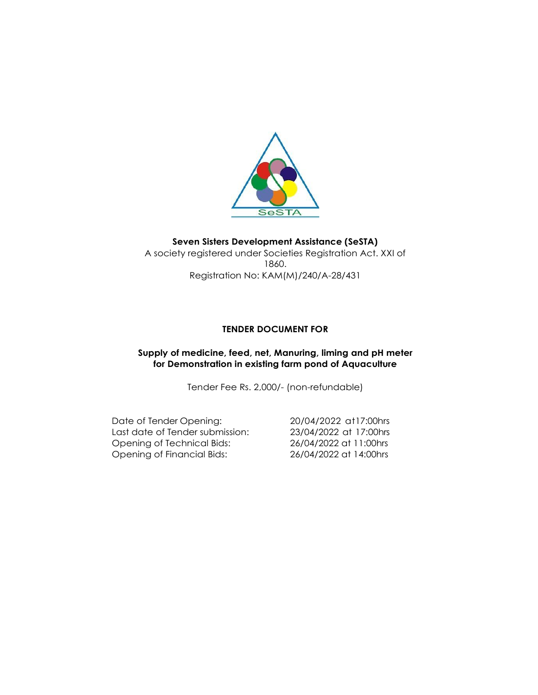

#### **Seven Sisters Development Assistance (SeSTA)** A society registered under Societies Registration Act. XXI of 1860.

Registration No: KAM(M)/240/A-28/431

## **TENDER DOCUMENT FOR**

### **Supply of medicine, feed, net, Manuring, liming and pH meter for Demonstration in existing farm pond of Aquaculture**

Tender Fee Rs. 2,000/- (non-refundable)

Date of Tender Opening: 20/04/2022 at17:00hrs Last date of Tender submission: 23/04/2022 at 17:00hrs Opening of Technical Bids: 26/04/2022 at 11:00hrs Opening of Financial Bids: 26/04/2022 at 14:00hrs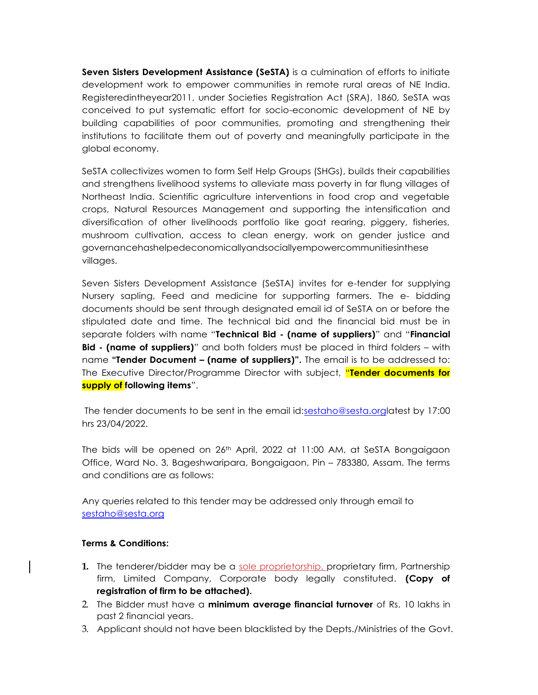**Seven Sisters Development Assistance (SeSTA)** is a culmination of efforts to initiate development work to empower communities in remote rural areas of NE India. Registeredintheyear2011, under Societies Registration Act (SRA), 1860, SeSTA was conceived to put systematic effort for socio-economic development of NE by building capabilities of poor communities, promoting and strengthening their institutions to facilitate them out of poverty and meaningfully participate in the global economy.

SeSTA collectivizes women to form Self Help Groups (SHGs), builds their capabilities and strengthens livelihood systems to alleviate mass poverty in far flung villages of Northeast India. Scientific agriculture interventions in food crop and vegetable crops, Natural Resources Management and supporting the intensification and diversification of other livelihoods portfolio like goat rearing, piggery, fisheries, mushroom cultivation, access to clean energy, work on gender justice and governancehashelpedeconomicallyandsociallyempowercommunitiesinthese villages.

Seven Sisters Development Assistance (SeSTA) invites for e-tender for supplying Nursery sapling, Feed and medicine for supporting farmers. The e- bidding documents should be sent through designated email id of SeSTA on or before the stipulated date and time. The technical bid and the financial bid must be in separate folders with name "**Technical Bid - (name of suppliers)**" and "**Financial Bid - (name of suppliers)**" and both folders must be placed in third folders – with name **"Tender Document – (name of suppliers)".** The email is to be addressed to: The Executive Director/Programme Director with subject, "**Tender documents for supply of following items**".

The tender documents to be sent in the email id[:sestaho@sesta.orgl](mailto:sestaho@sesta.org)atest by 17:00 hrs 23/04/2022.

The bids will be opened on 26th April, 2022 at 11:00 AM, at SeSTA Bongaigaon Office, Ward No. 3, Bageshwaripara, Bongaigaon, Pin – 783380, Assam. The terms and conditions are as follows:

Any queries related to this tender may be addressed only through email to [sestaho@sesta.org](mailto:sestaho@sesta.org)

### **Terms & Conditions:**

- **1.** The tenderer/bidder may be a sole proprietorship, proprietary firm, Partnership firm, Limited Company, Corporate body legally constituted. **(Copy of registration of firm to be attached).**
- 2. The Bidder must have a **minimum average financial turnover** of Rs. 10 lakhs in past 2 financial years.
- 3. Applicant should not have been blacklisted by the Depts./Ministries of the Govt.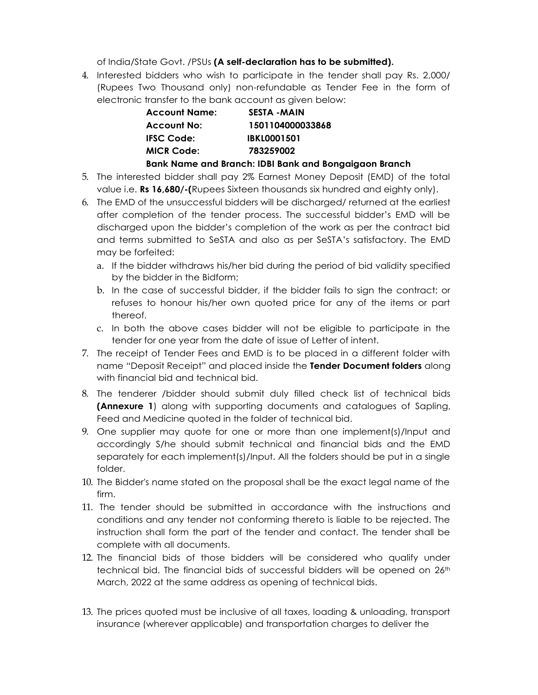of India/State Govt. /PSUs **(A self-declaration has to be submitted).**

4. Interested bidders who wish to participate in the tender shall pay Rs. 2,000/ (Rupees Two Thousand only) non-refundable as Tender Fee in the form of electronic transfer to the bank account as given below:

| <b>Account Name:</b> | <b>SESTA - MAIN</b>                                   |
|----------------------|-------------------------------------------------------|
| <b>Account No:</b>   | 1501104000033868                                      |
| <b>IFSC Code:</b>    | <b>IBKL0001501</b>                                    |
| <b>MICR Code:</b>    | 783259002                                             |
|                      | Bank Name and Branch: IDBI Bank and Bongaigaon Branch |

- 5. The interested bidder shall pay 2% Earnest Money Deposit (EMD) of the total value i.e. **Rs 16,680/-(**Rupees Sixteen thousands six hundred and eighty only).
- 6. The EMD of the unsuccessful bidders will be discharged/ returned at the earliest after completion of the tender process. The successful bidder's EMD will be discharged upon the bidder's completion of the work as per the contract bid and terms submitted to SeSTA and also as per SeSTA's satisfactory. The EMD may be forfeited:
	- a. If the bidder withdraws his/her bid during the period of bid validity specified by the bidder in the Bidform;
	- b. In the case of successful bidder, if the bidder fails to sign the contract; or refuses to honour his/her own quoted price for any of the items or part thereof.
	- c. In both the above cases bidder will not be eligible to participate in the tender for one year from the date of issue of Letter of intent.
- 7. The receipt of Tender Fees and EMD is to be placed in a different folder with name "Deposit Receipt" and placed inside the **Tender Document folders** along with financial bid and technical bid.
- 8. The tenderer /bidder should submit duly filled check list of technical bids **(Annexure 1**) along with supporting documents and catalogues of Sapling, Feed and Medicine quoted in the folder of technical bid.
- 9. One supplier may quote for one or more than one implement(s)/Input and accordingly S/he should submit technical and financial bids and the EMD separately for each implement(s)/Input. All the folders should be put in a single folder.
- 10. The Bidder's name stated on the proposal shall be the exact legal name of the firm.
- 11. The tender should be submitted in accordance with the instructions and conditions and any tender not conforming thereto is liable to be rejected. The instruction shall form the part of the tender and contact. The tender shall be complete with all documents.
- 12. The financial bids of those bidders will be considered who qualify under technical bid. The financial bids of successful bidders will be opened on 26<sup>th</sup> March, 2022 at the same address as opening of technical bids.
- 13. The prices quoted must be inclusive of all taxes, loading & unloading, transport insurance (wherever applicable) and transportation charges to deliver the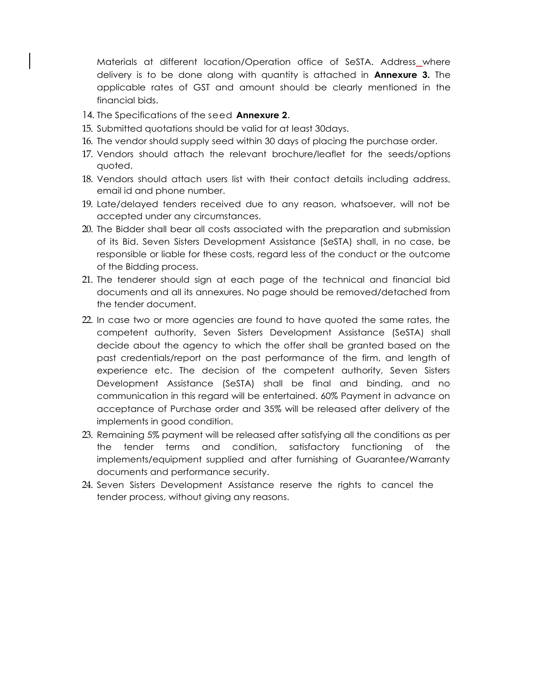Materials at different location/Operation office of SeSTA. Address where delivery is to be done along with quantity is attached in **Annexure 3.** The applicable rates of GST and amount should be clearly mentioned in the financial bids.

- 14. The Specifications of the seed **Annexure 2**.
- 15. Submitted quotations should be valid for at least 30days.
- 16. The vendor should supply seed within 30 days of placing the purchase order.
- 17. Vendors should attach the relevant brochure/leaflet for the seeds/options quoted.
- 18. Vendors should attach users list with their contact details including address, email id and phone number.
- 19. Late/delayed tenders received due to any reason, whatsoever, will not be accepted under any circumstances.
- 20. The Bidder shall bear all costs associated with the preparation and submission of its Bid. Seven Sisters Development Assistance (SeSTA) shall, in no case, be responsible or liable for these costs, regard less of the conduct or the outcome of the Bidding process.
- 21. The tenderer should sign at each page of the technical and financial bid documents and all its annexures. No page should be removed/detached from the tender document.
- 22. In case two or more agencies are found to have quoted the same rates, the competent authority, Seven Sisters Development Assistance (SeSTA) shall decide about the agency to which the offer shall be granted based on the past credentials/report on the past performance of the firm, and length of experience etc. The decision of the competent authority, Seven Sisters Development Assistance (SeSTA) shall be final and binding, and no communication in this regard will be entertained. 60% Payment in advance on acceptance of Purchase order and 35% will be released after delivery of the implements in good condition.
- 23. Remaining 5% payment will be released after satisfying all the conditions as per the tender terms and condition, satisfactory functioning of the implements/equipment supplied and after furnishing of Guarantee/Warranty documents and performance security.
- 24. Seven Sisters Development Assistance reserve the rights to cancel the tender process, without giving any reasons.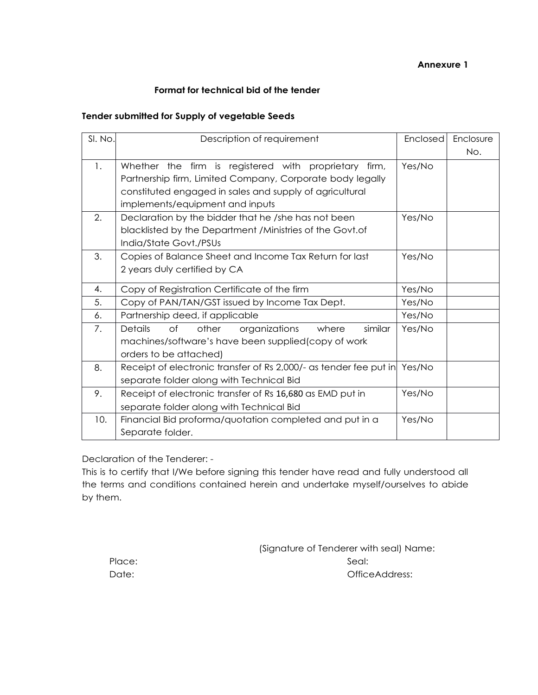## **Annexure 1**

### **Format for technical bid of the tender**

## **Tender submitted for Supply of vegetable Seeds**

| SI. No. | Description of requirement                                               | Enclosed | Enclosure |  |  |  |  |  |
|---------|--------------------------------------------------------------------------|----------|-----------|--|--|--|--|--|
|         |                                                                          |          | No.       |  |  |  |  |  |
| 1.      | Whether the firm is registered with proprietary firm,                    | Yes/No   |           |  |  |  |  |  |
|         | Partnership firm, Limited Company, Corporate body legally                |          |           |  |  |  |  |  |
|         | constituted engaged in sales and supply of agricultural                  |          |           |  |  |  |  |  |
|         | implements/equipment and inputs                                          |          |           |  |  |  |  |  |
| 2.      | Declaration by the bidder that he /she has not been                      | Yes/No   |           |  |  |  |  |  |
|         | blacklisted by the Department / Ministries of the Govt.of                |          |           |  |  |  |  |  |
|         | India/State Govt./PSUs                                                   |          |           |  |  |  |  |  |
| 3.      | Copies of Balance Sheet and Income Tax Return for last                   | Yes/No   |           |  |  |  |  |  |
|         | 2 years duly certified by CA                                             |          |           |  |  |  |  |  |
| 4.      | Copy of Registration Certificate of the firm                             | Yes/No   |           |  |  |  |  |  |
| 5.      | Copy of PAN/TAN/GST issued by Income Tax Dept.                           | Yes/No   |           |  |  |  |  |  |
| 6.      | Partnership deed, if applicable                                          | Yes/No   |           |  |  |  |  |  |
| 7.      | of<br>organizations<br><b>Details</b><br>other<br>where<br>similar       | Yes/No   |           |  |  |  |  |  |
|         | machines/software's have been supplied(copy of work                      |          |           |  |  |  |  |  |
|         | orders to be attached)                                                   |          |           |  |  |  |  |  |
| 8.      | Receipt of electronic transfer of Rs 2,000/- as tender fee put in Yes/No |          |           |  |  |  |  |  |
|         | separate folder along with Technical Bid                                 |          |           |  |  |  |  |  |
| 9.      | Receipt of electronic transfer of Rs 16,680 as EMD put in                | Yes/No   |           |  |  |  |  |  |
|         | separate folder along with Technical Bid                                 |          |           |  |  |  |  |  |
| 10.     | Financial Bid proforma/quotation completed and put in a                  | Yes/No   |           |  |  |  |  |  |
|         | Separate folder.                                                         |          |           |  |  |  |  |  |

Declaration of the Tenderer: -

This is to certify that I/We before signing this tender have read and fully understood all the terms and conditions contained herein and undertake myself/ourselves to abide by them.

|        | (Signature of Tenderer with seal) Name: |
|--------|-----------------------------------------|
| Place: | -Seal:                                  |
| Date:  | OfficeAddress:                          |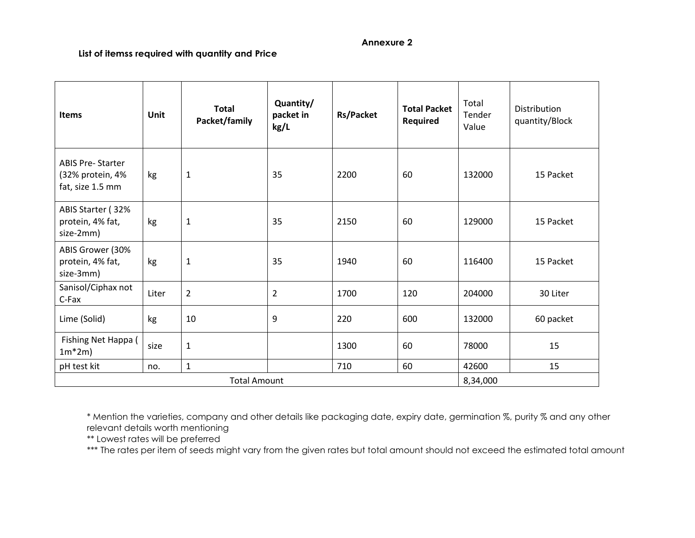#### **Annexure 2**

## **List of itemss required with quantity and Price**

| <b>Items</b>                                                    | Unit  | <b>Total</b><br>Packet/family | Quantity/<br>packet in<br>kg/L | <b>Rs/Packet</b> | <b>Total Packet</b><br>Required | Total<br>Tender<br>Value | Distribution<br>quantity/Block |
|-----------------------------------------------------------------|-------|-------------------------------|--------------------------------|------------------|---------------------------------|--------------------------|--------------------------------|
| <b>ABIS Pre-Starter</b><br>(32% protein, 4%<br>fat, size 1.5 mm | kg    | $\mathbf{1}$                  | 35                             | 2200             | 60                              | 132000                   | 15 Packet                      |
| ABIS Starter (32%<br>protein, 4% fat,<br>size-2mm)              | kg    | $\mathbf{1}$                  | 35                             | 2150             | 60                              | 129000                   | 15 Packet                      |
| ABIS Grower (30%<br>protein, 4% fat,<br>size-3mm)               | kg    | $\mathbf 1$                   | 35                             | 1940             | 60                              | 116400                   | 15 Packet                      |
| Sanisol/Ciphax not<br>C-Fax                                     | Liter | $\overline{2}$                | $\overline{2}$                 | 1700             | 120                             | 204000                   | 30 Liter                       |
| Lime (Solid)                                                    | kg    | 10                            | 9                              | 220              | 600                             | 132000                   | 60 packet                      |
| Fishing Net Happa (<br>$1m*2m$                                  | size  | $\mathbf 1$                   |                                | 1300             | 60                              | 78000                    | 15                             |
| pH test kit                                                     | no.   | $\mathbf 1$                   |                                | 710              | 60                              | 42600                    | 15                             |
| <b>Total Amount</b>                                             |       |                               |                                |                  |                                 | 8,34,000                 |                                |

\* Mention the varieties, company and other details like packaging date, expiry date, germination %, purity % and any other relevant details worth mentioning

\*\* Lowest rates will be preferred

\*\*\* The rates per item of seeds might vary from the given rates but total amount should not exceed the estimated total amount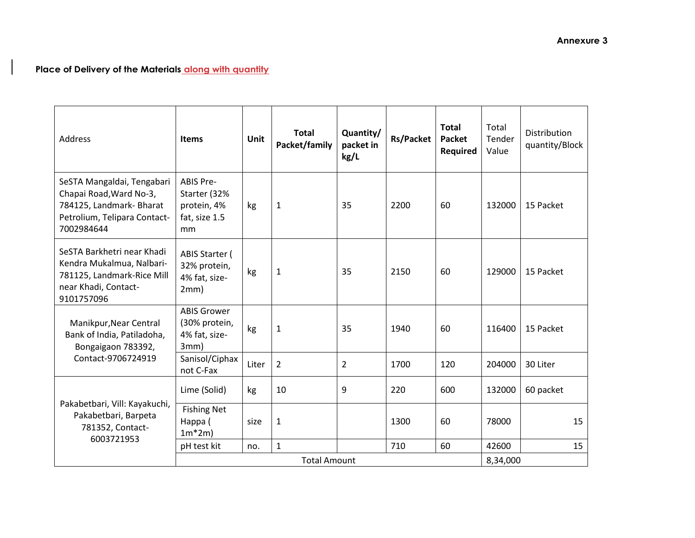# **Place of Delivery of the Materials along with quantity**

 $\mathbf{I}$ 

| <b>Address</b>                                                                                                                  | <b>Items</b>                                                           | <b>Unit</b> | <b>Total</b><br>Packet/family | Quantity/<br>packet in<br>kg/L | <b>Rs/Packet</b> | <b>Total</b><br><b>Packet</b><br>Required | Total<br>Tender<br>Value | <b>Distribution</b><br>quantity/Block |  |
|---------------------------------------------------------------------------------------------------------------------------------|------------------------------------------------------------------------|-------------|-------------------------------|--------------------------------|------------------|-------------------------------------------|--------------------------|---------------------------------------|--|
| SeSTA Mangaldai, Tengabari<br>Chapai Road, Ward No-3,<br>784125, Landmark- Bharat<br>Petrolium, Telipara Contact-<br>7002984644 | <b>ABIS Pre-</b><br>Starter (32%<br>protein, 4%<br>fat, size 1.5<br>mm | kg          | $\mathbf{1}$                  | 35                             | 2200             | 60                                        | 132000                   | 15 Packet                             |  |
| SeSTA Barkhetri near Khadi<br>Kendra Mukalmua, Nalbari-<br>781125, Landmark-Rice Mill<br>near Khadi, Contact-<br>9101757096     | ABIS Starter (<br>32% protein,<br>4% fat, size-<br>2mm)                | kg          | $\mathbf{1}$                  | 35                             | 2150             | 60                                        | 129000                   | 15 Packet                             |  |
| Manikpur, Near Central<br>Bank of India, Patiladoha,<br>Bongaigaon 783392,<br>Contact-9706724919                                | <b>ABIS Grower</b><br>(30% protein,<br>4% fat, size-<br>3mm)           | kg          | $\mathbf{1}$                  | 35                             | 1940             | 60                                        | 116400                   | 15 Packet                             |  |
|                                                                                                                                 | Sanisol/Ciphax<br>not C-Fax                                            | Liter       | $\overline{2}$                | $\overline{2}$                 | 1700             | 120                                       | 204000                   | 30 Liter                              |  |
| Pakabetbari, Vill: Kayakuchi,<br>Pakabetbari, Barpeta<br>781352, Contact-<br>6003721953                                         | Lime (Solid)                                                           | kg          | 10                            | 9                              | 220              | 600                                       | 132000                   | 60 packet                             |  |
|                                                                                                                                 | <b>Fishing Net</b><br>Happa (<br>$1m*2m$                               | size        | 1                             |                                | 1300             | 60                                        | 78000                    | 15                                    |  |
|                                                                                                                                 | pH test kit                                                            | no.         | $\mathbf{1}$                  |                                | 710              | 60                                        | 42600                    | 15                                    |  |
|                                                                                                                                 | <b>Total Amount</b>                                                    |             |                               |                                |                  |                                           |                          | 8,34,000                              |  |